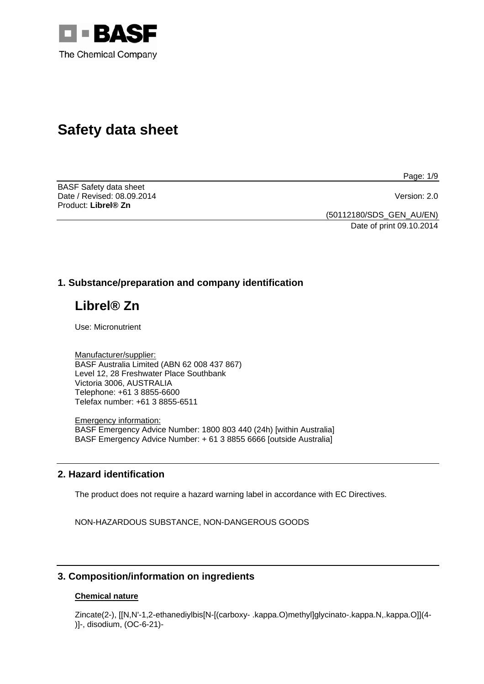

# **Safety data sheet**

BASF Safety data sheet Date / Revised: 08.09.2014 Version: 2.0 Product: **Librel® Zn** 

Page: 1/9

(50112180/SDS\_GEN\_AU/EN) Date of print 09.10.2014

## **1. Substance/preparation and company identification**

## **Librel® Zn**

Use: Micronutrient

Manufacturer/supplier: BASF Australia Limited (ABN 62 008 437 867) Level 12, 28 Freshwater Place Southbank Victoria 3006, AUSTRALIA Telephone: +61 3 8855-6600 Telefax number: +61 3 8855-6511

Emergency information: BASF Emergency Advice Number: 1800 803 440 (24h) [within Australia] BASF Emergency Advice Number: + 61 3 8855 6666 [outside Australia]

## **2. Hazard identification**

The product does not require a hazard warning label in accordance with EC Directives.

NON-HAZARDOUS SUBSTANCE, NON-DANGEROUS GOODS

## **3. Composition/information on ingredients**

#### **Chemical nature**

Zincate(2-), [[N,N'-1,2-ethanediylbis[N-[(carboxy- .kappa.O)methyl]glycinato-.kappa.N,.kappa.O]](4- )]-, disodium, (OC-6-21)-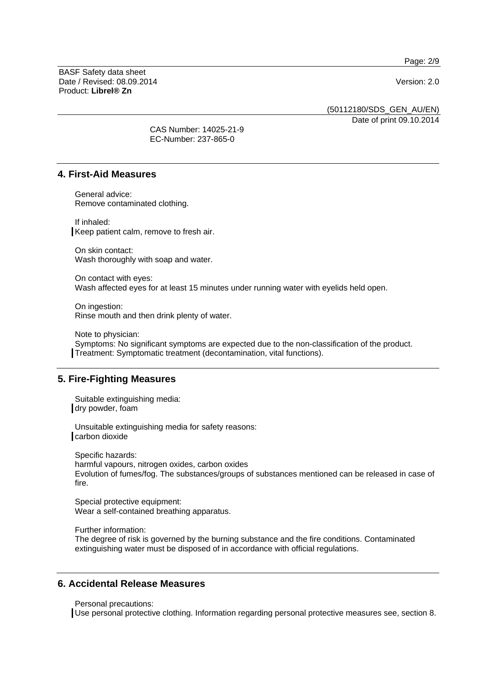Page: 2/9

BASF Safety data sheet Date / Revised: 08.09.2014 Version: 2.0 Product: **Librel® Zn**

(50112180/SDS\_GEN\_AU/EN)

Date of print 09.10.2014

CAS Number: 14025-21-9 EC-Number: 237-865-0

## **4. First-Aid Measures**

General advice: Remove contaminated clothing.

If inhaled: Keep patient calm, remove to fresh air.

On skin contact: Wash thoroughly with soap and water.

On contact with eyes: Wash affected eyes for at least 15 minutes under running water with eyelids held open.

On ingestion: Rinse mouth and then drink plenty of water.

Note to physician: Symptoms: No significant symptoms are expected due to the non-classification of the product. Treatment: Symptomatic treatment (decontamination, vital functions).

## **5. Fire-Fighting Measures**

Suitable extinguishing media: dry powder, foam

Unsuitable extinguishing media for safety reasons: carbon dioxide

Specific hazards: harmful vapours, nitrogen oxides, carbon oxides Evolution of fumes/fog. The substances/groups of substances mentioned can be released in case of fire.

Special protective equipment: Wear a self-contained breathing apparatus.

Further information:

The degree of risk is governed by the burning substance and the fire conditions. Contaminated extinguishing water must be disposed of in accordance with official regulations.

## **6. Accidental Release Measures**

Personal precautions:

Use personal protective clothing. Information regarding personal protective measures see, section 8.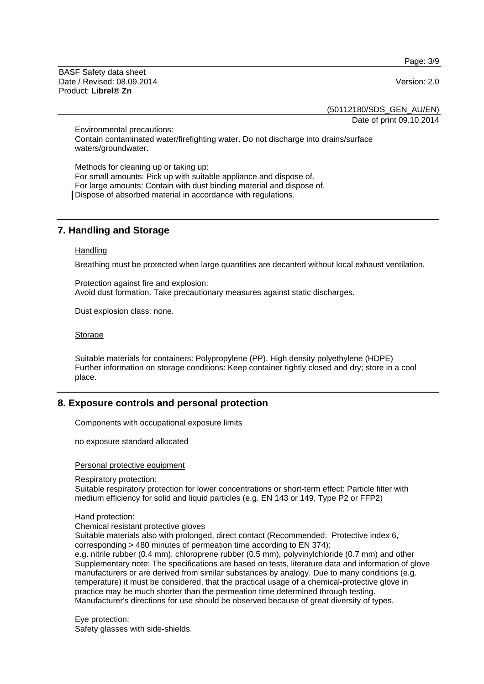Page: 3/9

BASF Safety data sheet Date / Revised: 08.09.2014 Version: 2.0 Product: **Librel® Zn**

(50112180/SDS\_GEN\_AU/EN)

Date of print 09.10.2014

Environmental precautions: Contain contaminated water/firefighting water. Do not discharge into drains/surface waters/groundwater.

Methods for cleaning up or taking up: For small amounts: Pick up with suitable appliance and dispose of. For large amounts: Contain with dust binding material and dispose of. Dispose of absorbed material in accordance with regulations.

## **7. Handling and Storage**

#### **Handling**

Breathing must be protected when large quantities are decanted without local exhaust ventilation.

Protection against fire and explosion: Avoid dust formation. Take precautionary measures against static discharges.

Dust explosion class: none.

#### Storage

Suitable materials for containers: Polypropylene (PP), High density polyethylene (HDPE) Further information on storage conditions: Keep container tightly closed and dry; store in a cool place.

## **8. Exposure controls and personal protection**

Components with occupational exposure limits

no exposure standard allocated

Personal protective equipment

Respiratory protection:

Suitable respiratory protection for lower concentrations or short-term effect: Particle filter with medium efficiency for solid and liquid particles (e.g. EN 143 or 149, Type P2 or FFP2)

Hand protection:

Chemical resistant protective gloves

Suitable materials also with prolonged, direct contact (Recommended: Protective index 6, corresponding > 480 minutes of permeation time according to EN 374):

e.g. nitrile rubber (0.4 mm), chloroprene rubber (0.5 mm), polyvinylchloride (0.7 mm) and other Supplementary note: The specifications are based on tests, literature data and information of glove manufacturers or are derived from similar substances by analogy. Due to many conditions (e.g. temperature) it must be considered, that the practical usage of a chemical-protective glove in practice may be much shorter than the permeation time determined through testing. Manufacturer's directions for use should be observed because of great diversity of types.

Eye protection: Safety glasses with side-shields.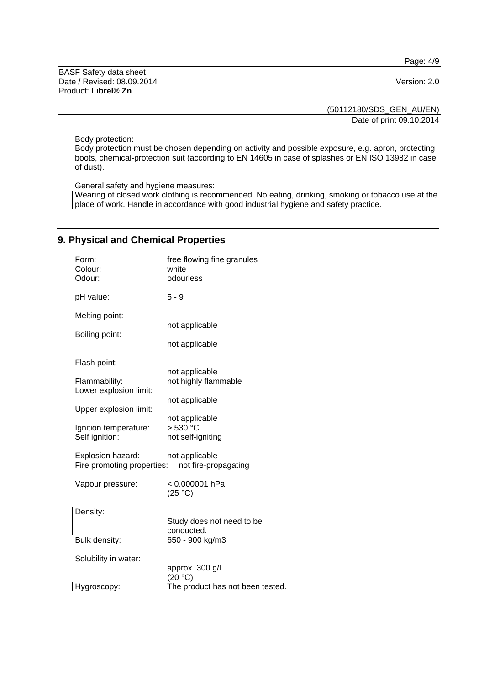Page: 4/9

BASF Safety data sheet Date / Revised: 08.09.2014 Version: 2.0 Product: **Librel® Zn**

(50112180/SDS\_GEN\_AU/EN)

Date of print 09.10.2014

Body protection:

Body protection must be chosen depending on activity and possible exposure, e.g. apron, protecting boots, chemical-protection suit (according to EN 14605 in case of splashes or EN ISO 13982 in case of dust).

General safety and hygiene measures:

Wearing of closed work clothing is recommended. No eating, drinking, smoking or tobacco use at the place of work. Handle in accordance with good industrial hygiene and safety practice.

## **9. Physical and Chemical Properties**

| Form:<br>Colour:<br>Odour:                      | free flowing fine granules<br>white<br>odourless |
|-------------------------------------------------|--------------------------------------------------|
| pH value:                                       | $5 - 9$                                          |
| Melting point:                                  | not applicable                                   |
| Boiling point:                                  | not applicable                                   |
| Flash point:                                    |                                                  |
| Flammability:<br>Lower explosion limit:         | not applicable<br>not highly flammable           |
| Upper explosion limit:                          | not applicable                                   |
| Ignition temperature:                           | not applicable<br>> 530 °C                       |
| Self ignition:                                  | not self-igniting                                |
| Explosion hazard:<br>Fire promoting properties: | not applicable<br>not fire-propagating           |
| Vapour pressure:                                | < 0.000001 hPa<br>(25 °C)                        |
| Density:                                        | Study does not need to be                        |
| Bulk density:                                   | conducted.<br>650 - 900 kg/m3                    |
| Solubility in water:                            | approx. 300 g/l                                  |
| Hygroscopy:                                     | (20 °C)<br>The product has not been tested.      |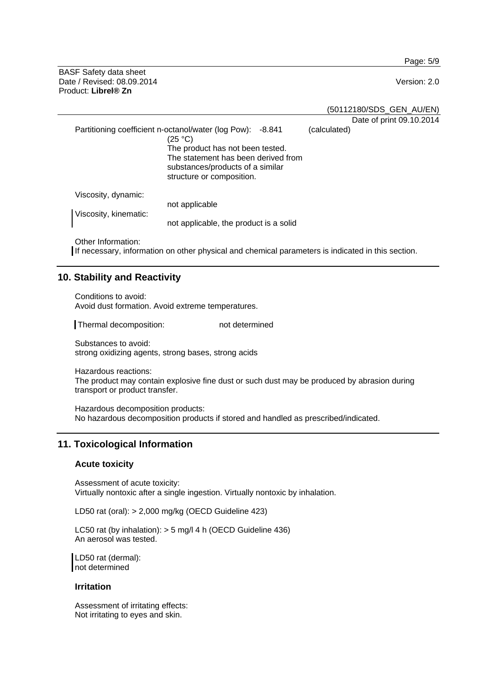Page: 5/9

BASF Safety data sheet Date / Revised: 08.09.2014 Version: 2.0 Product: **Librel® Zn**

(50112180/SDS\_GEN\_AU/EN)

|                                              |                                                                                                                                                                                                                      |              | Date of print 09.10.2014 |
|----------------------------------------------|----------------------------------------------------------------------------------------------------------------------------------------------------------------------------------------------------------------------|--------------|--------------------------|
|                                              | Partitioning coefficient n-octanol/water (log Pow):<br>-8.841<br>(25 °C)<br>The product has not been tested.<br>The statement has been derived from<br>substances/products of a similar<br>structure or composition. | (calculated) |                          |
| Viscosity, dynamic:<br>Viscosity, kinematic: | not applicable<br>not applicable, the product is a solid                                                                                                                                                             |              |                          |

Other Information:

If necessary, information on other physical and chemical parameters is indicated in this section.

## **10. Stability and Reactivity**

Conditions to avoid: Avoid dust formation. Avoid extreme temperatures.

Thermal decomposition: not determined

Substances to avoid: strong oxidizing agents, strong bases, strong acids

Hazardous reactions: The product may contain explosive fine dust or such dust may be produced by abrasion during transport or product transfer.

Hazardous decomposition products: No hazardous decomposition products if stored and handled as prescribed/indicated.

## **11. Toxicological Information**

#### **Acute toxicity**

Assessment of acute toxicity: Virtually nontoxic after a single ingestion. Virtually nontoxic by inhalation.

LD50 rat (oral): > 2,000 mg/kg (OECD Guideline 423)

LC50 rat (by inhalation): > 5 mg/l 4 h (OECD Guideline 436) An aerosol was tested.

LD50 rat (dermal): not determined

#### **Irritation**

Assessment of irritating effects: Not irritating to eyes and skin.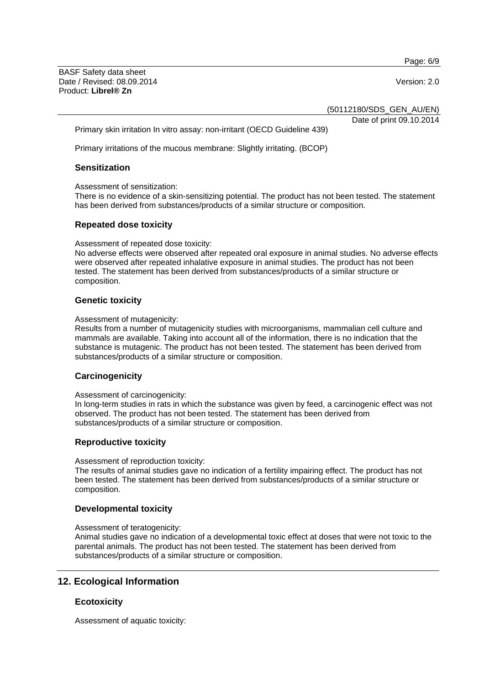Page: 6/9

BASF Safety data sheet Date / Revised: 08.09.2014 Version: 2.0 Product: **Librel® Zn**

(50112180/SDS\_GEN\_AU/EN)

Date of print 09.10.2014

Primary skin irritation In vitro assay: non-irritant (OECD Guideline 439)

Primary irritations of the mucous membrane: Slightly irritating. (BCOP)

#### **Sensitization**

Assessment of sensitization:

There is no evidence of a skin-sensitizing potential. The product has not been tested. The statement has been derived from substances/products of a similar structure or composition.

#### **Repeated dose toxicity**

Assessment of repeated dose toxicity:

No adverse effects were observed after repeated oral exposure in animal studies. No adverse effects were observed after repeated inhalative exposure in animal studies. The product has not been tested. The statement has been derived from substances/products of a similar structure or composition.

## **Genetic toxicity**

#### Assessment of mutagenicity:

Results from a number of mutagenicity studies with microorganisms, mammalian cell culture and mammals are available. Taking into account all of the information, there is no indication that the substance is mutagenic. The product has not been tested. The statement has been derived from substances/products of a similar structure or composition.

#### **Carcinogenicity**

Assessment of carcinogenicity:

In long-term studies in rats in which the substance was given by feed, a carcinogenic effect was not observed. The product has not been tested. The statement has been derived from substances/products of a similar structure or composition.

#### **Reproductive toxicity**

Assessment of reproduction toxicity:

The results of animal studies gave no indication of a fertility impairing effect. The product has not been tested. The statement has been derived from substances/products of a similar structure or composition.

## **Developmental toxicity**

#### Assessment of teratogenicity:

Animal studies gave no indication of a developmental toxic effect at doses that were not toxic to the parental animals. The product has not been tested. The statement has been derived from substances/products of a similar structure or composition.

## **12. Ecological Information**

#### **Ecotoxicity**

Assessment of aquatic toxicity: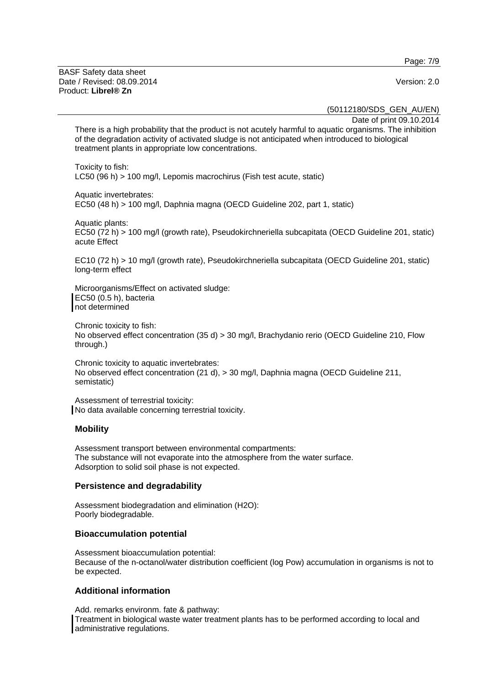Page: 7/9

BASF Safety data sheet Date / Revised: 08.09.2014 Version: 2.0 Product: **Librel® Zn**

(50112180/SDS\_GEN\_AU/EN)

Date of print 09.10.2014

There is a high probability that the product is not acutely harmful to aquatic organisms. The inhibition of the degradation activity of activated sludge is not anticipated when introduced to biological treatment plants in appropriate low concentrations.

Toxicity to fish: LC50 (96 h) > 100 mg/l, Lepomis macrochirus (Fish test acute, static)

Aquatic invertebrates:

EC50 (48 h) > 100 mg/l, Daphnia magna (OECD Guideline 202, part 1, static)

Aquatic plants:

EC50 (72 h) > 100 mg/l (growth rate), Pseudokirchneriella subcapitata (OECD Guideline 201, static) acute Effect

EC10 (72 h) > 10 mg/l (growth rate), Pseudokirchneriella subcapitata (OECD Guideline 201, static) long-term effect

Microorganisms/Effect on activated sludge: EC50 (0.5 h), bacteria not determined

Chronic toxicity to fish: No observed effect concentration (35 d) > 30 mg/l, Brachydanio rerio (OECD Guideline 210, Flow through.)

Chronic toxicity to aquatic invertebrates: No observed effect concentration (21 d), > 30 mg/l, Daphnia magna (OECD Guideline 211, semistatic)

Assessment of terrestrial toxicity: No data available concerning terrestrial toxicity.

#### **Mobility**

Assessment transport between environmental compartments: The substance will not evaporate into the atmosphere from the water surface. Adsorption to solid soil phase is not expected.

#### **Persistence and degradability**

Assessment biodegradation and elimination (H2O): Poorly biodegradable.

#### **Bioaccumulation potential**

Assessment bioaccumulation potential: Because of the n-octanol/water distribution coefficient (log Pow) accumulation in organisms is not to be expected.

#### **Additional information**

Add. remarks environm. fate & pathway: Treatment in biological waste water treatment plants has to be performed according to local and administrative regulations.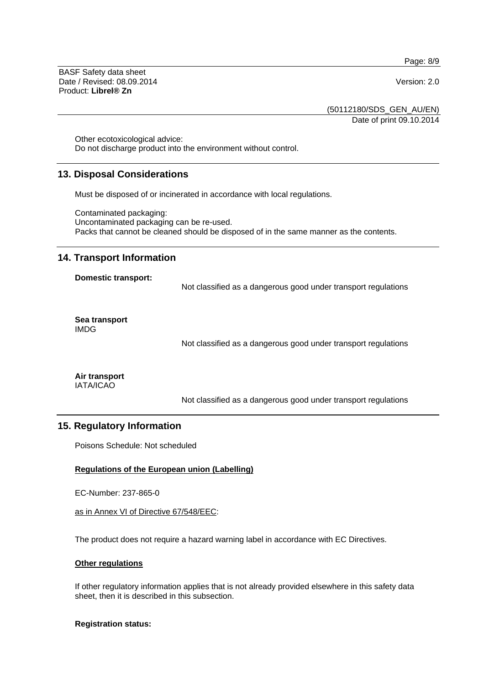Page: 8/9

BASF Safety data sheet Date / Revised: 08.09.2014 Version: 2.0 Product: **Librel® Zn**

(50112180/SDS\_GEN\_AU/EN) Date of print 09.10.2014

Other ecotoxicological advice: Do not discharge product into the environment without control.

## **13. Disposal Considerations**

Must be disposed of or incinerated in accordance with local regulations.

Contaminated packaging: Uncontaminated packaging can be re-used. Packs that cannot be cleaned should be disposed of in the same manner as the contents.

## **14. Transport Information**

#### **Domestic transport:**

Not classified as a dangerous good under transport regulations

**Sea transport**  IMDG

Not classified as a dangerous good under transport regulations

**Air transport**  IATA/ICAO

Not classified as a dangerous good under transport regulations

## **15. Regulatory Information**

Poisons Schedule: Not scheduled

#### **Regulations of the European union (Labelling)**

EC-Number: 237-865-0

as in Annex VI of Directive 67/548/EEC:

The product does not require a hazard warning label in accordance with EC Directives.

#### **Other regulations**

If other regulatory information applies that is not already provided elsewhere in this safety data sheet, then it is described in this subsection.

#### **Registration status:**